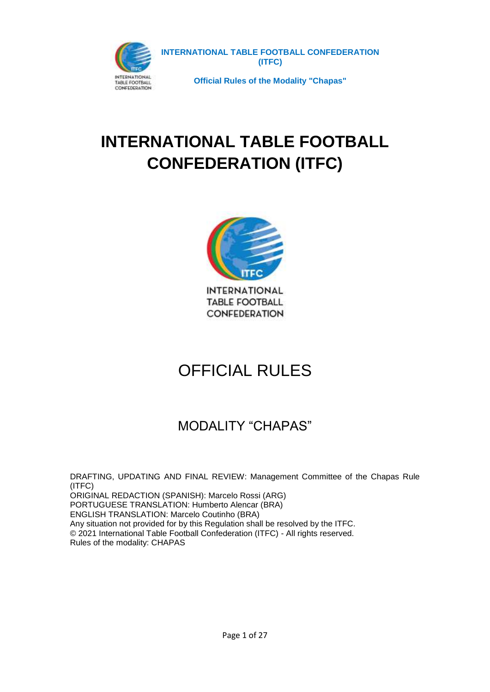



# OFFICIAL RULES

## MODALITY "CHAPAS"

DRAFTING, UPDATING AND FINAL REVIEW: Management Committee of the Chapas Rule (ITFC) ORIGINAL REDACTION (SPANISH): Marcelo Rossi (ARG) PORTUGUESE TRANSLATION: Humberto Alencar (BRA) ENGLISH TRANSLATION: Marcelo Coutinho (BRA) Any situation not provided for by this Regulation shall be resolved by the ITFC. © 2021 International Table Football Confederation (ITFC) - All rights reserved. Rules of the modality: CHAPAS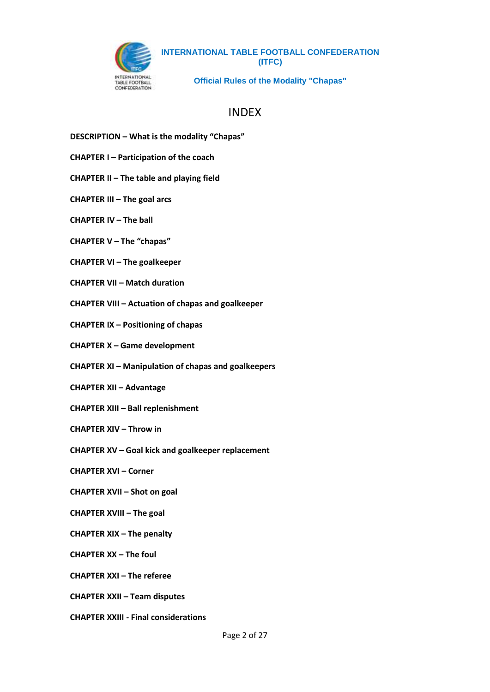

**Official Rules of the Modality "Chapas"**

### INDEX

- **DESCRIPTION – What is the modality "Chapas"**
- **CHAPTER I – Participation of the coach**
- **CHAPTER II – The table and playing field**
- **CHAPTER III – The goal arcs**
- **CHAPTER IV – The ball**
- **CHAPTER V – The "chapas"**
- **CHAPTER VI – The goalkeeper**
- **CHAPTER VII – Match duration**
- **CHAPTER VIII – Actuation of chapas and goalkeeper**
- **CHAPTER IX – Positioning of chapas**
- **CHAPTER X – Game development**
- **CHAPTER XI – Manipulation of chapas and goalkeepers**
- **CHAPTER XII – Advantage**
- **CHAPTER XIII – Ball replenishment**
- **CHAPTER XIV – Throw in**
- **CHAPTER XV – Goal kick and goalkeeper replacement**
- **CHAPTER XVI – Corner**
- **CHAPTER XVII – Shot on goal**
- **CHAPTER XVIII – The goal**
- **CHAPTER XIX – The penalty**
- **CHAPTER XX – The foul**
- **CHAPTER XXI – The referee**
- **CHAPTER XXII – Team disputes**
- **CHAPTER XXIII - Final considerations**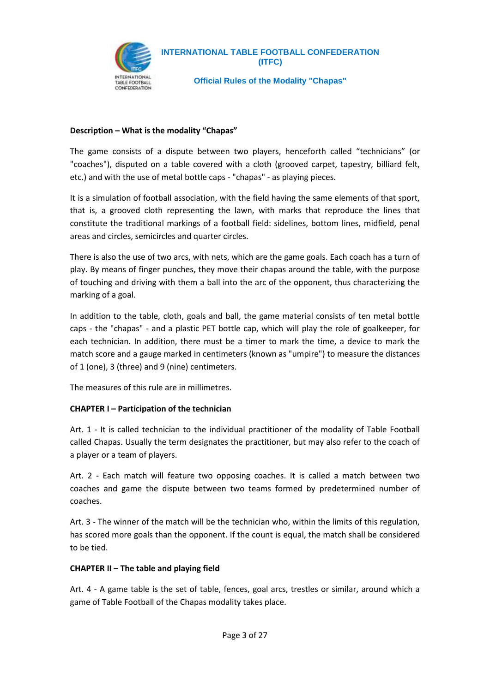

**Official Rules of the Modality "Chapas"**

#### **Description – What is the modality "Chapas"**

The game consists of a dispute between two players, henceforth called "technicians" (or "coaches"), disputed on a table covered with a cloth (grooved carpet, tapestry, billiard felt, etc.) and with the use of metal bottle caps - "chapas" - as playing pieces.

It is a simulation of football association, with the field having the same elements of that sport, that is, a grooved cloth representing the lawn, with marks that reproduce the lines that constitute the traditional markings of a football field: sidelines, bottom lines, midfield, penal areas and circles, semicircles and quarter circles.

There is also the use of two arcs, with nets, which are the game goals. Each coach has a turn of play. By means of finger punches, they move their chapas around the table, with the purpose of touching and driving with them a ball into the arc of the opponent, thus characterizing the marking of a goal.

In addition to the table, cloth, goals and ball, the game material consists of ten metal bottle caps - the "chapas" - and a plastic PET bottle cap, which will play the role of goalkeeper, for each technician. In addition, there must be a timer to mark the time, a device to mark the match score and a gauge marked in centimeters (known as "umpire") to measure the distances of 1 (one), 3 (three) and 9 (nine) centimeters.

The measures of this rule are in millimetres.

#### **CHAPTER I – Participation of the technician**

Art. 1 - It is called technician to the individual practitioner of the modality of Table Football called Chapas. Usually the term designates the practitioner, but may also refer to the coach of a player or a team of players.

Art. 2 - Each match will feature two opposing coaches. It is called a match between two coaches and game the dispute between two teams formed by predetermined number of coaches.

Art. 3 - The winner of the match will be the technician who, within the limits of this regulation, has scored more goals than the opponent. If the count is equal, the match shall be considered to be tied.

#### **CHAPTER II – The table and playing field**

Art. 4 - A game table is the set of table, fences, goal arcs, trestles or similar, around which a game of Table Football of the Chapas modality takes place.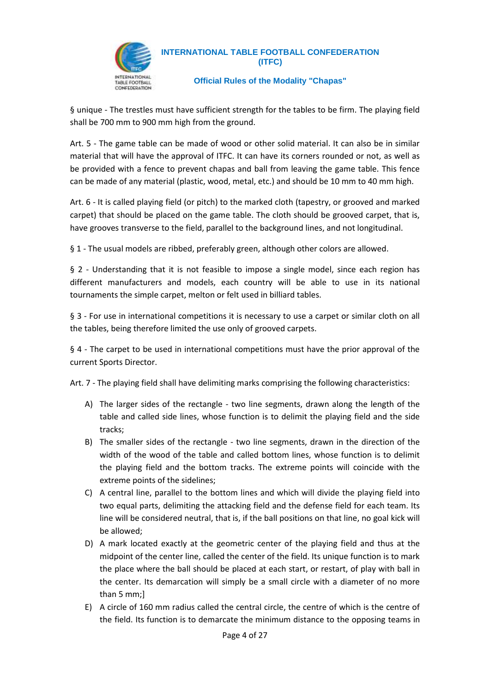

#### **Official Rules of the Modality "Chapas"**

§ unique - The trestles must have sufficient strength for the tables to be firm. The playing field shall be 700 mm to 900 mm high from the ground.

Art. 5 - The game table can be made of wood or other solid material. It can also be in similar material that will have the approval of ITFC. It can have its corners rounded or not, as well as be provided with a fence to prevent chapas and ball from leaving the game table. This fence can be made of any material (plastic, wood, metal, etc.) and should be 10 mm to 40 mm high.

Art. 6 - It is called playing field (or pitch) to the marked cloth (tapestry, or grooved and marked carpet) that should be placed on the game table. The cloth should be grooved carpet, that is, have grooves transverse to the field, parallel to the background lines, and not longitudinal.

§ 1 - The usual models are ribbed, preferably green, although other colors are allowed.

§ 2 - Understanding that it is not feasible to impose a single model, since each region has different manufacturers and models, each country will be able to use in its national tournaments the simple carpet, melton or felt used in billiard tables.

§ 3 - For use in international competitions it is necessary to use a carpet or similar cloth on all the tables, being therefore limited the use only of grooved carpets.

§ 4 - The carpet to be used in international competitions must have the prior approval of the current Sports Director.

Art. 7 - The playing field shall have delimiting marks comprising the following characteristics:

- A) The larger sides of the rectangle two line segments, drawn along the length of the table and called side lines, whose function is to delimit the playing field and the side tracks;
- B) The smaller sides of the rectangle two line segments, drawn in the direction of the width of the wood of the table and called bottom lines, whose function is to delimit the playing field and the bottom tracks. The extreme points will coincide with the extreme points of the sidelines;
- C) A central line, parallel to the bottom lines and which will divide the playing field into two equal parts, delimiting the attacking field and the defense field for each team. Its line will be considered neutral, that is, if the ball positions on that line, no goal kick will be allowed;
- D) A mark located exactly at the geometric center of the playing field and thus at the midpoint of the center line, called the center of the field. Its unique function is to mark the place where the ball should be placed at each start, or restart, of play with ball in the center. Its demarcation will simply be a small circle with a diameter of no more than 5 mm;]
- E) A circle of 160 mm radius called the central circle, the centre of which is the centre of the field. Its function is to demarcate the minimum distance to the opposing teams in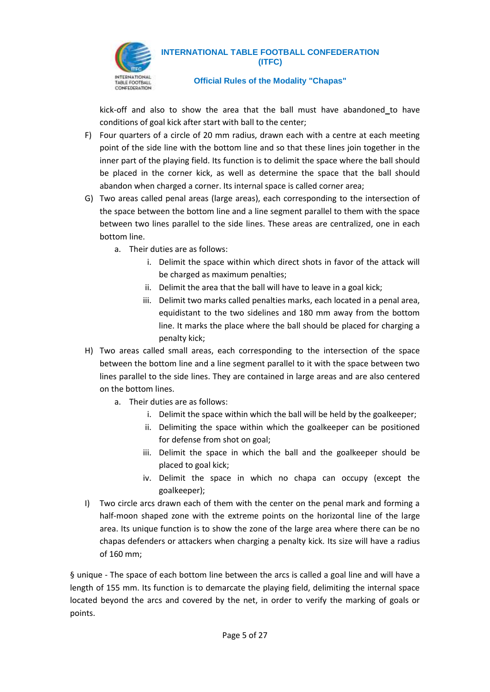

#### **Official Rules of the Modality "Chapas"**

kick-off and also to show the area that the ball must have abandoned to have conditions of goal kick after start with ball to the center;

- F) Four quarters of a circle of 20 mm radius, drawn each with a centre at each meeting point of the side line with the bottom line and so that these lines join together in the inner part of the playing field. Its function is to delimit the space where the ball should be placed in the corner kick, as well as determine the space that the ball should abandon when charged a corner. Its internal space is called corner area;
- G) Two areas called penal areas (large areas), each corresponding to the intersection of the space between the bottom line and a line segment parallel to them with the space between two lines parallel to the side lines. These areas are centralized, one in each bottom line.
	- a. Their duties are as follows:
		- i. Delimit the space within which direct shots in favor of the attack will be charged as maximum penalties;
		- ii. Delimit the area that the ball will have to leave in a goal kick;
		- iii. Delimit two marks called penalties marks, each located in a penal area, equidistant to the two sidelines and 180 mm away from the bottom line. It marks the place where the ball should be placed for charging a penalty kick;
- H) Two areas called small areas, each corresponding to the intersection of the space between the bottom line and a line segment parallel to it with the space between two lines parallel to the side lines. They are contained in large areas and are also centered on the bottom lines.
	- a. Their duties are as follows:
		- i. Delimit the space within which the ball will be held by the goalkeeper;
		- ii. Delimiting the space within which the goalkeeper can be positioned for defense from shot on goal;
		- iii. Delimit the space in which the ball and the goalkeeper should be placed to goal kick;
		- iv. Delimit the space in which no chapa can occupy (except the goalkeeper);
- I) Two circle arcs drawn each of them with the center on the penal mark and forming a half-moon shaped zone with the extreme points on the horizontal line of the large area. Its unique function is to show the zone of the large area where there can be no chapas defenders or attackers when charging a penalty kick. Its size will have a radius of 160 mm;

§ unique - The space of each bottom line between the arcs is called a goal line and will have a length of 155 mm. Its function is to demarcate the playing field, delimiting the internal space located beyond the arcs and covered by the net, in order to verify the marking of goals or points.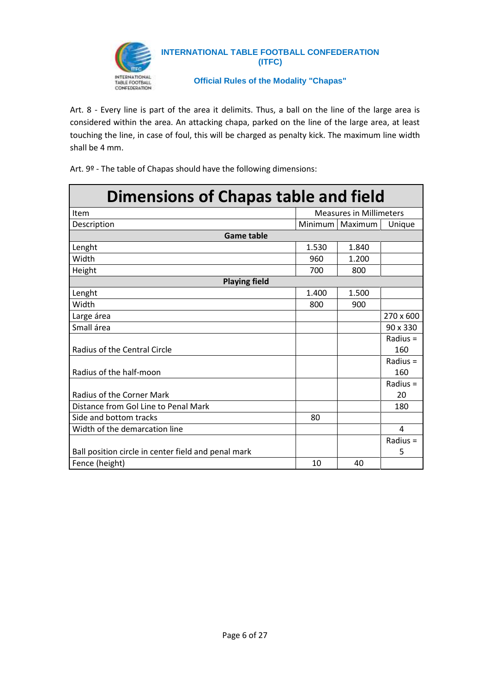

**Official Rules of the Modality "Chapas"**

Art. 8 - Every line is part of the area it delimits. Thus, a ball on the line of the large area is considered within the area. An attacking chapa, parked on the line of the large area, at least touching the line, in case of foul, this will be charged as penalty kick. The maximum line width shall be 4 mm.

Art. 9º - The table of Chapas should have the following dimensions:

| <b>Dimensions of Chapas table and field</b>         |         |                                |            |  |
|-----------------------------------------------------|---------|--------------------------------|------------|--|
| Item                                                |         | <b>Measures in Millimeters</b> |            |  |
| Description                                         | Minimum | Maximum                        | Unique     |  |
| <b>Game table</b>                                   |         |                                |            |  |
| Lenght                                              | 1.530   | 1.840                          |            |  |
| Width                                               | 960     | 1.200                          |            |  |
| Height                                              | 700     | 800                            |            |  |
| <b>Playing field</b>                                |         |                                |            |  |
| Lenght                                              | 1.400   | 1.500                          |            |  |
| Width                                               | 800     | 900                            |            |  |
| Large área                                          |         |                                | 270 x 600  |  |
| Small área                                          |         |                                | 90 x 330   |  |
|                                                     |         |                                | Radius $=$ |  |
| Radius of the Central Circle                        |         |                                | 160        |  |
|                                                     |         |                                | Radius $=$ |  |
| Radius of the half-moon                             |         |                                | 160        |  |
|                                                     |         |                                | Radius $=$ |  |
| <b>Radius of the Corner Mark</b>                    |         |                                | 20         |  |
| Distance from Gol Line to Penal Mark                |         |                                | 180        |  |
| Side and bottom tracks                              | 80      |                                |            |  |
| Width of the demarcation line                       |         |                                | 4          |  |
|                                                     |         |                                | Radius $=$ |  |
| Ball position circle in center field and penal mark |         |                                | 5          |  |
| Fence (height)                                      | 10      | 40                             |            |  |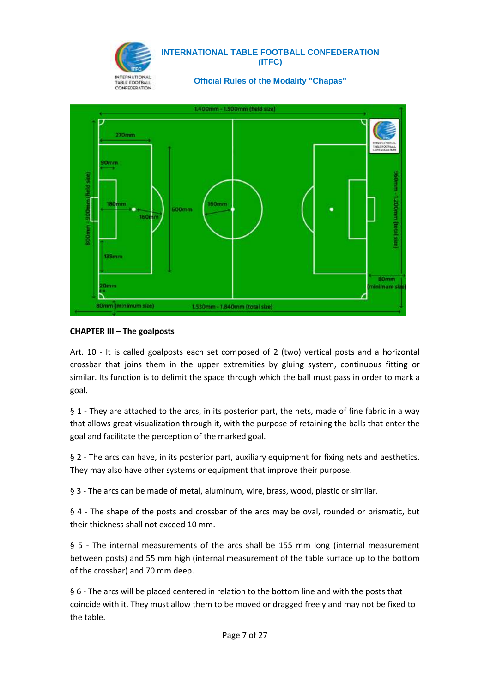



#### **CHAPTER III – The goalposts**

Art. 10 - It is called goalposts each set composed of 2 (two) vertical posts and a horizontal crossbar that joins them in the upper extremities by gluing system, continuous fitting or similar. Its function is to delimit the space through which the ball must pass in order to mark a goal.

§ 1 - They are attached to the arcs, in its posterior part, the nets, made of fine fabric in a way that allows great visualization through it, with the purpose of retaining the balls that enter the goal and facilitate the perception of the marked goal.

§ 2 - The arcs can have, in its posterior part, auxiliary equipment for fixing nets and aesthetics. They may also have other systems or equipment that improve their purpose.

§ 3 - The arcs can be made of metal, aluminum, wire, brass, wood, plastic or similar.

§ 4 - The shape of the posts and crossbar of the arcs may be oval, rounded or prismatic, but their thickness shall not exceed 10 mm.

§ 5 - The internal measurements of the arcs shall be 155 mm long (internal measurement between posts) and 55 mm high (internal measurement of the table surface up to the bottom of the crossbar) and 70 mm deep.

§ 6 - The arcs will be placed centered in relation to the bottom line and with the posts that coincide with it. They must allow them to be moved or dragged freely and may not be fixed to the table.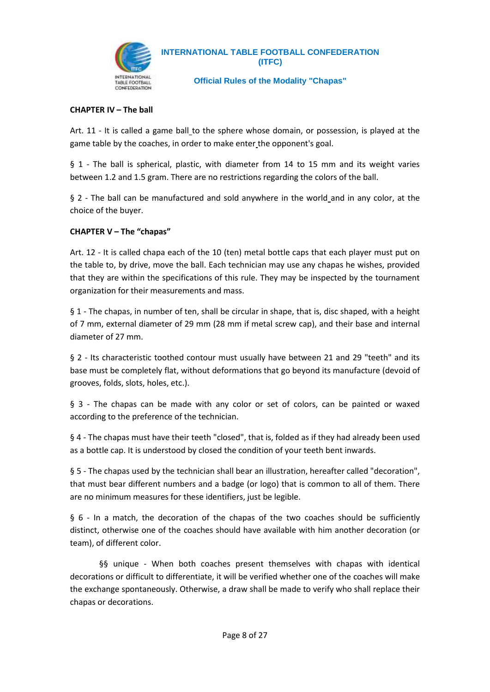

**Official Rules of the Modality "Chapas"**

#### **CHAPTER IV – The ball**

Art. 11 - It is called a game ball to the sphere whose domain, or possession, is played at the game table by the coaches, in order to make enter the opponent's goal.

§ 1 - The ball is spherical, plastic, with diameter from 14 to 15 mm and its weight varies between 1.2 and 1.5 gram. There are no restrictions regarding the colors of the ball.

§ 2 - The ball can be manufactured and sold anywhere in the world and in any color, at the choice of the buyer.

#### **CHAPTER V – The "chapas"**

Art. 12 - It is called chapa each of the 10 (ten) metal bottle caps that each player must put on the table to, by drive, move the ball. Each technician may use any chapas he wishes, provided that they are within the specifications of this rule. They may be inspected by the tournament organization for their measurements and mass.

§ 1 - The chapas, in number of ten, shall be circular in shape, that is, disc shaped, with a height of 7 mm, external diameter of 29 mm (28 mm if metal screw cap), and their base and internal diameter of 27 mm.

§ 2 - Its characteristic toothed contour must usually have between 21 and 29 "teeth" and its base must be completely flat, without deformations that go beyond its manufacture (devoid of grooves, folds, slots, holes, etc.).

§ 3 - The chapas can be made with any color or set of colors, can be painted or waxed according to the preference of the technician.

§ 4 - The chapas must have their teeth "closed", that is, folded as if they had already been used as a bottle cap. It is understood by closed the condition of your teeth bent inwards.

§ 5 - The chapas used by the technician shall bear an illustration, hereafter called "decoration", that must bear different numbers and a badge (or logo) that is common to all of them. There are no minimum measures for these identifiers, just be legible.

§ 6 - In a match, the decoration of the chapas of the two coaches should be sufficiently distinct, otherwise one of the coaches should have available with him another decoration (or team), of different color.

§§ unique - When both coaches present themselves with chapas with identical decorations or difficult to differentiate, it will be verified whether one of the coaches will make the exchange spontaneously. Otherwise, a draw shall be made to verify who shall replace their chapas or decorations.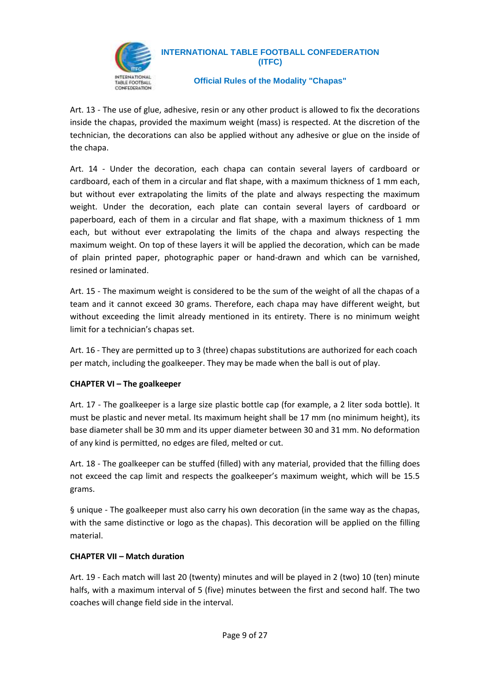

#### **Official Rules of the Modality "Chapas"**

Art. 13 - The use of glue, adhesive, resin or any other product is allowed to fix the decorations inside the chapas, provided the maximum weight (mass) is respected. At the discretion of the technician, the decorations can also be applied without any adhesive or glue on the inside of the chapa.

Art. 14 - Under the decoration, each chapa can contain several layers of cardboard or cardboard, each of them in a circular and flat shape, with a maximum thickness of 1 mm each, but without ever extrapolating the limits of the plate and always respecting the maximum weight. Under the decoration, each plate can contain several layers of cardboard or paperboard, each of them in a circular and flat shape, with a maximum thickness of 1 mm each, but without ever extrapolating the limits of the chapa and always respecting the maximum weight. On top of these layers it will be applied the decoration, which can be made of plain printed paper, photographic paper or hand-drawn and which can be varnished, resined or laminated.

Art. 15 - The maximum weight is considered to be the sum of the weight of all the chapas of a team and it cannot exceed 30 grams. Therefore, each chapa may have different weight, but without exceeding the limit already mentioned in its entirety. There is no minimum weight limit for a technician's chapas set.

Art. 16 - They are permitted up to 3 (three) chapas substitutions are authorized for each coach per match, including the goalkeeper. They may be made when the ball is out of play.

#### **CHAPTER VI – The goalkeeper**

Art. 17 - The goalkeeper is a large size plastic bottle cap (for example, a 2 liter soda bottle). It must be plastic and never metal. Its maximum height shall be 17 mm (no minimum height), its base diameter shall be 30 mm and its upper diameter between 30 and 31 mm. No deformation of any kind is permitted, no edges are filed, melted or cut.

Art. 18 - The goalkeeper can be stuffed (filled) with any material, provided that the filling does not exceed the cap limit and respects the goalkeeper's maximum weight, which will be 15.5 grams.

§ unique - The goalkeeper must also carry his own decoration (in the same way as the chapas, with the same distinctive or logo as the chapas). This decoration will be applied on the filling material.

#### **CHAPTER VII – Match duration**

Art. 19 - Each match will last 20 (twenty) minutes and will be played in 2 (two) 10 (ten) minute halfs, with a maximum interval of 5 (five) minutes between the first and second half. The two coaches will change field side in the interval.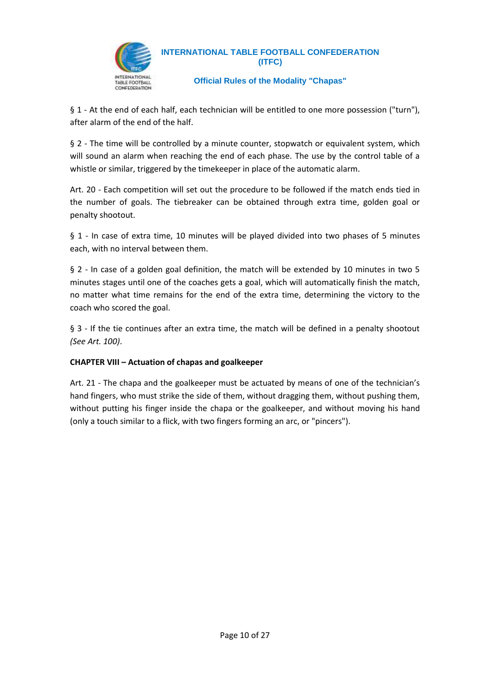

#### **Official Rules of the Modality "Chapas"**

§ 1 - At the end of each half, each technician will be entitled to one more possession ("turn"), after alarm of the end of the half.

§ 2 - The time will be controlled by a minute counter, stopwatch or equivalent system, which will sound an alarm when reaching the end of each phase. The use by the control table of a whistle or similar, triggered by the timekeeper in place of the automatic alarm.

Art. 20 - Each competition will set out the procedure to be followed if the match ends tied in the number of goals. The tiebreaker can be obtained through extra time, golden goal or penalty shootout.

§ 1 - In case of extra time, 10 minutes will be played divided into two phases of 5 minutes each, with no interval between them.

§ 2 - In case of a golden goal definition, the match will be extended by 10 minutes in two 5 minutes stages until one of the coaches gets a goal, which will automatically finish the match, no matter what time remains for the end of the extra time, determining the victory to the coach who scored the goal.

§ 3 - If the tie continues after an extra time, the match will be defined in a penalty shootout *(See Art. 100)*.

#### **CHAPTER VIII – Actuation of chapas and goalkeeper**

Art. 21 - The chapa and the goalkeeper must be actuated by means of one of the technician's hand fingers, who must strike the side of them, without dragging them, without pushing them, without putting his finger inside the chapa or the goalkeeper, and without moving his hand (only a touch similar to a flick, with two fingers forming an arc, or "pincers").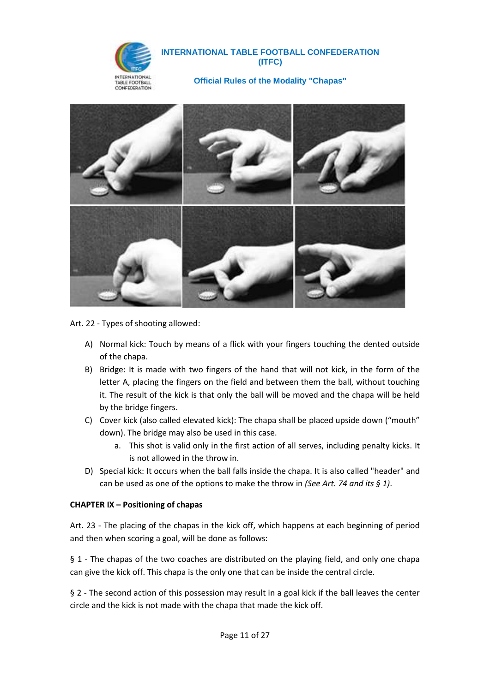

**Official Rules of the Modality "Chapas"**



Art. 22 - Types of shooting allowed:

- A) Normal kick: Touch by means of a flick with your fingers touching the dented outside of the chapa.
- B) Bridge: It is made with two fingers of the hand that will not kick, in the form of the letter A, placing the fingers on the field and between them the ball, without touching it. The result of the kick is that only the ball will be moved and the chapa will be held by the bridge fingers.
- C) Cover kick (also called elevated kick): The chapa shall be placed upside down ("mouth" down). The bridge may also be used in this case.
	- a. This shot is valid only in the first action of all serves, including penalty kicks. It is not allowed in the throw in.
- D) Special kick: It occurs when the ball falls inside the chapa. It is also called "header" and can be used as one of the options to make the throw in *(See Art. 74 and its § 1)*.

#### **CHAPTER IX – Positioning of chapas**

Art. 23 - The placing of the chapas in the kick off, which happens at each beginning of period and then when scoring a goal, will be done as follows:

§ 1 - The chapas of the two coaches are distributed on the playing field, and only one chapa can give the kick off. This chapa is the only one that can be inside the central circle.

§ 2 - The second action of this possession may result in a goal kick if the ball leaves the center circle and the kick is not made with the chapa that made the kick off.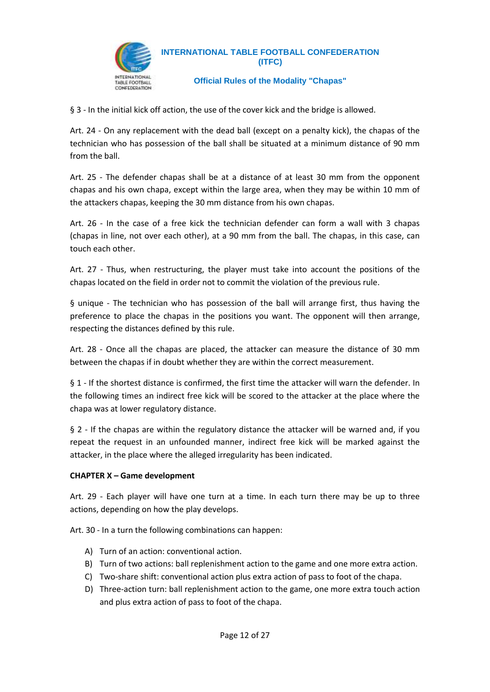

**Official Rules of the Modality "Chapas"**

§ 3 - In the initial kick off action, the use of the cover kick and the bridge is allowed.

Art. 24 - On any replacement with the dead ball (except on a penalty kick), the chapas of the technician who has possession of the ball shall be situated at a minimum distance of 90 mm from the ball.

Art. 25 - The defender chapas shall be at a distance of at least 30 mm from the opponent chapas and his own chapa, except within the large area, when they may be within 10 mm of the attackers chapas, keeping the 30 mm distance from his own chapas.

Art. 26 - In the case of a free kick the technician defender can form a wall with 3 chapas (chapas in line, not over each other), at a 90 mm from the ball. The chapas, in this case, can touch each other.

Art. 27 - Thus, when restructuring, the player must take into account the positions of the chapas located on the field in order not to commit the violation of the previous rule.

§ unique - The technician who has possession of the ball will arrange first, thus having the preference to place the chapas in the positions you want. The opponent will then arrange, respecting the distances defined by this rule.

Art. 28 - Once all the chapas are placed, the attacker can measure the distance of 30 mm between the chapas if in doubt whether they are within the correct measurement.

§ 1 - If the shortest distance is confirmed, the first time the attacker will warn the defender. In the following times an indirect free kick will be scored to the attacker at the place where the chapa was at lower regulatory distance.

§ 2 - If the chapas are within the regulatory distance the attacker will be warned and, if you repeat the request in an unfounded manner, indirect free kick will be marked against the attacker, in the place where the alleged irregularity has been indicated.

#### **CHAPTER X – Game development**

Art. 29 - Each player will have one turn at a time. In each turn there may be up to three actions, depending on how the play develops.

Art. 30 - In a turn the following combinations can happen:

- A) Turn of an action: conventional action.
- B) Turn of two actions: ball replenishment action to the game and one more extra action.
- C) Two-share shift: conventional action plus extra action of pass to foot of the chapa.
- D) Three-action turn: ball replenishment action to the game, one more extra touch action and plus extra action of pass to foot of the chapa.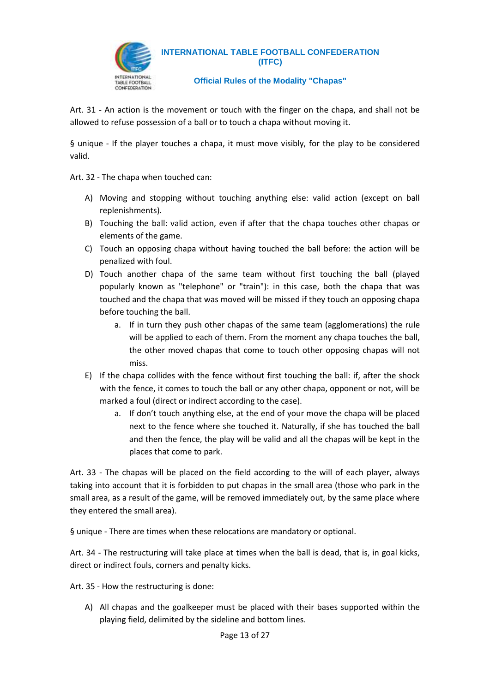

**Official Rules of the Modality "Chapas"**

Art. 31 - An action is the movement or touch with the finger on the chapa, and shall not be allowed to refuse possession of a ball or to touch a chapa without moving it.

§ unique - If the player touches a chapa, it must move visibly, for the play to be considered valid.

Art. 32 - The chapa when touched can:

- A) Moving and stopping without touching anything else: valid action (except on ball replenishments).
- B) Touching the ball: valid action, even if after that the chapa touches other chapas or elements of the game.
- C) Touch an opposing chapa without having touched the ball before: the action will be penalized with foul.
- D) Touch another chapa of the same team without first touching the ball (played popularly known as "telephone" or "train"): in this case, both the chapa that was touched and the chapa that was moved will be missed if they touch an opposing chapa before touching the ball.
	- a. If in turn they push other chapas of the same team (agglomerations) the rule will be applied to each of them. From the moment any chapa touches the ball, the other moved chapas that come to touch other opposing chapas will not miss.
- E) If the chapa collides with the fence without first touching the ball: if, after the shock with the fence, it comes to touch the ball or any other chapa, opponent or not, will be marked a foul (direct or indirect according to the case).
	- a. If don't touch anything else, at the end of your move the chapa will be placed next to the fence where she touched it. Naturally, if she has touched the ball and then the fence, the play will be valid and all the chapas will be kept in the places that come to park.

Art. 33 - The chapas will be placed on the field according to the will of each player, always taking into account that it is forbidden to put chapas in the small area (those who park in the small area, as a result of the game, will be removed immediately out, by the same place where they entered the small area).

§ unique - There are times when these relocations are mandatory or optional.

Art. 34 - The restructuring will take place at times when the ball is dead, that is, in goal kicks, direct or indirect fouls, corners and penalty kicks.

Art. 35 - How the restructuring is done:

A) All chapas and the goalkeeper must be placed with their bases supported within the playing field, delimited by the sideline and bottom lines.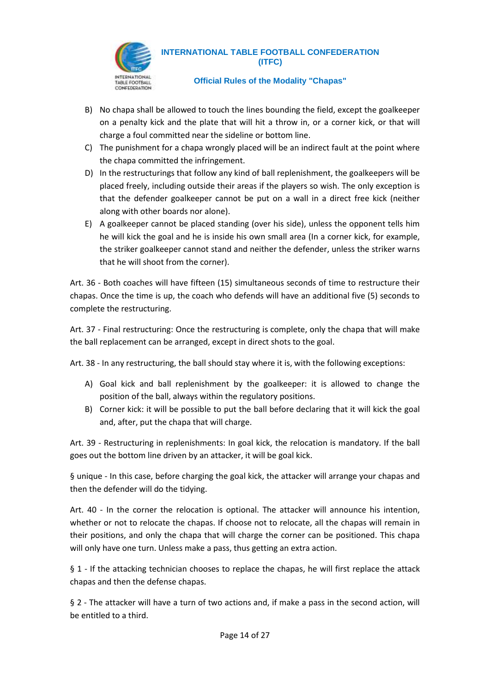

#### **Official Rules of the Modality "Chapas"**

- B) No chapa shall be allowed to touch the lines bounding the field, except the goalkeeper on a penalty kick and the plate that will hit a throw in, or a corner kick, or that will charge a foul committed near the sideline or bottom line.
- C) The punishment for a chapa wrongly placed will be an indirect fault at the point where the chapa committed the infringement.
- D) In the restructurings that follow any kind of ball replenishment, the goalkeepers will be placed freely, including outside their areas if the players so wish. The only exception is that the defender goalkeeper cannot be put on a wall in a direct free kick (neither along with other boards nor alone).
- E) A goalkeeper cannot be placed standing (over his side), unless the opponent tells him he will kick the goal and he is inside his own small area (In a corner kick, for example, the striker goalkeeper cannot stand and neither the defender, unless the striker warns that he will shoot from the corner).

Art. 36 - Both coaches will have fifteen (15) simultaneous seconds of time to restructure their chapas. Once the time is up, the coach who defends will have an additional five (5) seconds to complete the restructuring.

Art. 37 - Final restructuring: Once the restructuring is complete, only the chapa that will make the ball replacement can be arranged, except in direct shots to the goal.

Art. 38 - In any restructuring, the ball should stay where it is, with the following exceptions:

- A) Goal kick and ball replenishment by the goalkeeper: it is allowed to change the position of the ball, always within the regulatory positions.
- B) Corner kick: it will be possible to put the ball before declaring that it will kick the goal and, after, put the chapa that will charge.

Art. 39 - Restructuring in replenishments: In goal kick, the relocation is mandatory. If the ball goes out the bottom line driven by an attacker, it will be goal kick.

§ unique - In this case, before charging the goal kick, the attacker will arrange your chapas and then the defender will do the tidying.

Art. 40 - In the corner the relocation is optional. The attacker will announce his intention, whether or not to relocate the chapas. If choose not to relocate, all the chapas will remain in their positions, and only the chapa that will charge the corner can be positioned. This chapa will only have one turn. Unless make a pass, thus getting an extra action.

§ 1 - If the attacking technician chooses to replace the chapas, he will first replace the attack chapas and then the defense chapas.

§ 2 - The attacker will have a turn of two actions and, if make a pass in the second action, will be entitled to a third.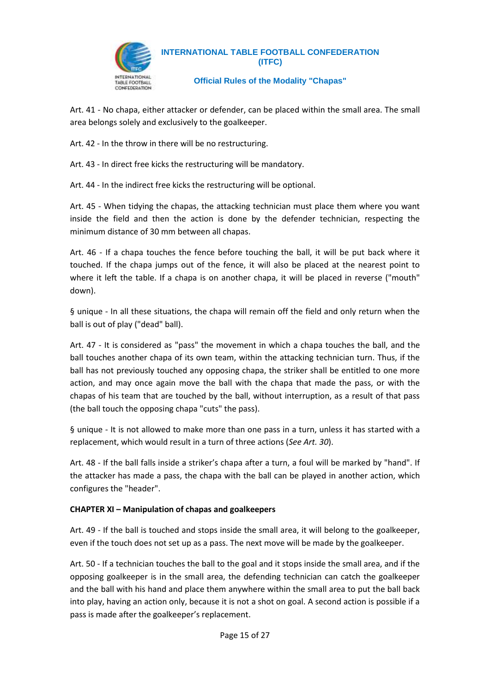

**Official Rules of the Modality "Chapas"**

Art. 41 - No chapa, either attacker or defender, can be placed within the small area. The small area belongs solely and exclusively to the goalkeeper.

Art. 42 - In the throw in there will be no restructuring.

Art. 43 - In direct free kicks the restructuring will be mandatory.

Art. 44 - In the indirect free kicks the restructuring will be optional.

Art. 45 - When tidying the chapas, the attacking technician must place them where you want inside the field and then the action is done by the defender technician, respecting the minimum distance of 30 mm between all chapas.

Art. 46 - If a chapa touches the fence before touching the ball, it will be put back where it touched. If the chapa jumps out of the fence, it will also be placed at the nearest point to where it left the table. If a chapa is on another chapa, it will be placed in reverse ("mouth" down).

§ unique - In all these situations, the chapa will remain off the field and only return when the ball is out of play ("dead" ball).

Art. 47 - It is considered as "pass" the movement in which a chapa touches the ball, and the ball touches another chapa of its own team, within the attacking technician turn. Thus, if the ball has not previously touched any opposing chapa, the striker shall be entitled to one more action, and may once again move the ball with the chapa that made the pass, or with the chapas of his team that are touched by the ball, without interruption, as a result of that pass (the ball touch the opposing chapa "cuts" the pass).

§ unique - It is not allowed to make more than one pass in a turn, unless it has started with a replacement, which would result in a turn of three actions (*See Art. 30*).

Art. 48 - If the ball falls inside a striker's chapa after a turn, a foul will be marked by "hand". If the attacker has made a pass, the chapa with the ball can be played in another action, which configures the "header".

#### **CHAPTER XI – Manipulation of chapas and goalkeepers**

Art. 49 - If the ball is touched and stops inside the small area, it will belong to the goalkeeper, even if the touch does not set up as a pass. The next move will be made by the goalkeeper.

Art. 50 - If a technician touches the ball to the goal and it stops inside the small area, and if the opposing goalkeeper is in the small area, the defending technician can catch the goalkeeper and the ball with his hand and place them anywhere within the small area to put the ball back into play, having an action only, because it is not a shot on goal. A second action is possible if a pass is made after the goalkeeper's replacement.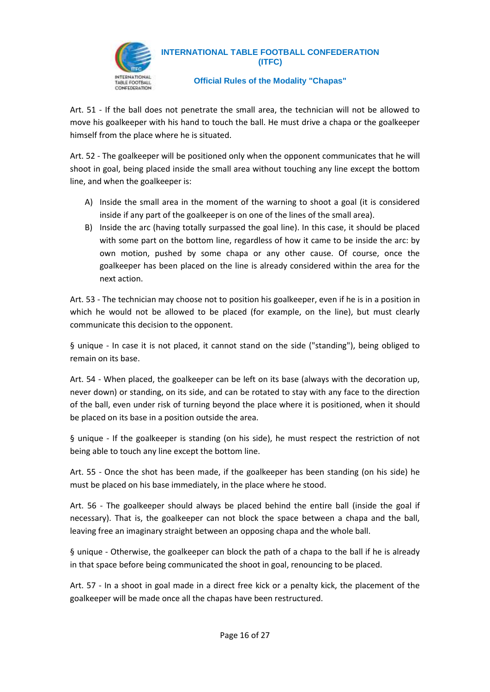

#### **Official Rules of the Modality "Chapas"**

Art. 51 - If the ball does not penetrate the small area, the technician will not be allowed to move his goalkeeper with his hand to touch the ball. He must drive a chapa or the goalkeeper himself from the place where he is situated.

Art. 52 - The goalkeeper will be positioned only when the opponent communicates that he will shoot in goal, being placed inside the small area without touching any line except the bottom line, and when the goalkeeper is:

- A) Inside the small area in the moment of the warning to shoot a goal (it is considered inside if any part of the goalkeeper is on one of the lines of the small area).
- B) Inside the arc (having totally surpassed the goal line). In this case, it should be placed with some part on the bottom line, regardless of how it came to be inside the arc: by own motion, pushed by some chapa or any other cause. Of course, once the goalkeeper has been placed on the line is already considered within the area for the next action.

Art. 53 - The technician may choose not to position his goalkeeper, even if he is in a position in which he would not be allowed to be placed (for example, on the line), but must clearly communicate this decision to the opponent.

§ unique - In case it is not placed, it cannot stand on the side ("standing"), being obliged to remain on its base.

Art. 54 - When placed, the goalkeeper can be left on its base (always with the decoration up, never down) or standing, on its side, and can be rotated to stay with any face to the direction of the ball, even under risk of turning beyond the place where it is positioned, when it should be placed on its base in a position outside the area.

§ unique - If the goalkeeper is standing (on his side), he must respect the restriction of not being able to touch any line except the bottom line.

Art. 55 - Once the shot has been made, if the goalkeeper has been standing (on his side) he must be placed on his base immediately, in the place where he stood.

Art. 56 - The goalkeeper should always be placed behind the entire ball (inside the goal if necessary). That is, the goalkeeper can not block the space between a chapa and the ball, leaving free an imaginary straight between an opposing chapa and the whole ball.

§ unique - Otherwise, the goalkeeper can block the path of a chapa to the ball if he is already in that space before being communicated the shoot in goal, renouncing to be placed.

Art. 57 - In a shoot in goal made in a direct free kick or a penalty kick, the placement of the goalkeeper will be made once all the chapas have been restructured.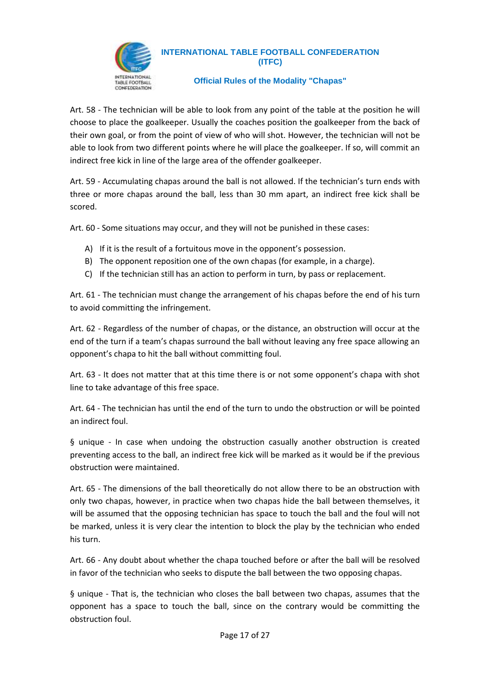

#### **Official Rules of the Modality "Chapas"**

Art. 58 - The technician will be able to look from any point of the table at the position he will choose to place the goalkeeper. Usually the coaches position the goalkeeper from the back of their own goal, or from the point of view of who will shot. However, the technician will not be able to look from two different points where he will place the goalkeeper. If so, will commit an indirect free kick in line of the large area of the offender goalkeeper.

Art. 59 - Accumulating chapas around the ball is not allowed. If the technician's turn ends with three or more chapas around the ball, less than 30 mm apart, an indirect free kick shall be scored.

Art. 60 - Some situations may occur, and they will not be punished in these cases:

- A) If it is the result of a fortuitous move in the opponent's possession.
- B) The opponent reposition one of the own chapas (for example, in a charge).
- C) If the technician still has an action to perform in turn, by pass or replacement.

Art. 61 - The technician must change the arrangement of his chapas before the end of his turn to avoid committing the infringement.

Art. 62 - Regardless of the number of chapas, or the distance, an obstruction will occur at the end of the turn if a team's chapas surround the ball without leaving any free space allowing an opponent's chapa to hit the ball without committing foul.

Art. 63 - It does not matter that at this time there is or not some opponent's chapa with shot line to take advantage of this free space.

Art. 64 - The technician has until the end of the turn to undo the obstruction or will be pointed an indirect foul.

§ unique - In case when undoing the obstruction casually another obstruction is created preventing access to the ball, an indirect free kick will be marked as it would be if the previous obstruction were maintained.

Art. 65 - The dimensions of the ball theoretically do not allow there to be an obstruction with only two chapas, however, in practice when two chapas hide the ball between themselves, it will be assumed that the opposing technician has space to touch the ball and the foul will not be marked, unless it is very clear the intention to block the play by the technician who ended his turn.

Art. 66 - Any doubt about whether the chapa touched before or after the ball will be resolved in favor of the technician who seeks to dispute the ball between the two opposing chapas.

§ unique - That is, the technician who closes the ball between two chapas, assumes that the opponent has a space to touch the ball, since on the contrary would be committing the obstruction foul.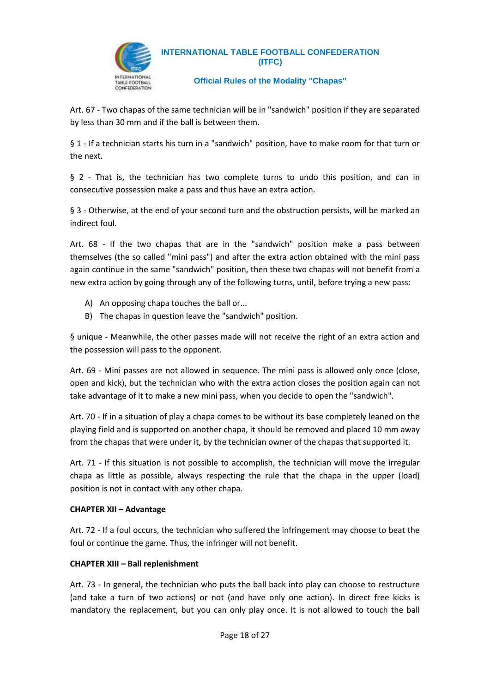

**Official Rules of the Modality "Chapas"**

Art. 67 - Two chapas of the same technician will be in "sandwich" position if they are separated by less than 30 mm and if the ball is between them.

§ 1 - If a technician starts his turn in a "sandwich" position, have to make room for that turn or the next.

§ 2 - That is, the technician has two complete turns to undo this position, and can in consecutive possession make a pass and thus have an extra action.

§ 3 - Otherwise, at the end of your second turn and the obstruction persists, will be marked an indirect foul.

Art. 68 - If the two chapas that are in the "sandwich" position make a pass between themselves (the so called "mini pass") and after the extra action obtained with the mini pass again continue in the same "sandwich" position, then these two chapas will not benefit from a new extra action by going through any of the following turns, until, before trying a new pass:

- A) An opposing chapa touches the ball or...
- B) The chapas in question leave the "sandwich" position.

§ unique - Meanwhile, the other passes made will not receive the right of an extra action and the possession will pass to the opponent.

Art. 69 - Mini passes are not allowed in sequence. The mini pass is allowed only once (close, open and kick), but the technician who with the extra action closes the position again can not take advantage of it to make a new mini pass, when you decide to open the "sandwich".

Art. 70 - If in a situation of play a chapa comes to be without its base completely leaned on the playing field and is supported on another chapa, it should be removed and placed 10 mm away from the chapas that were under it, by the technician owner of the chapas that supported it.

Art. 71 - If this situation is not possible to accomplish, the technician will move the irregular chapa as little as possible, always respecting the rule that the chapa in the upper (load) position is not in contact with any other chapa.

#### **CHAPTER XII – Advantage**

Art. 72 - If a foul occurs, the technician who suffered the infringement may choose to beat the foul or continue the game. Thus, the infringer will not benefit.

#### **CHAPTER XIII – Ball replenishment**

Art. 73 - In general, the technician who puts the ball back into play can choose to restructure (and take a turn of two actions) or not (and have only one action). In direct free kicks is mandatory the replacement, but you can only play once. It is not allowed to touch the ball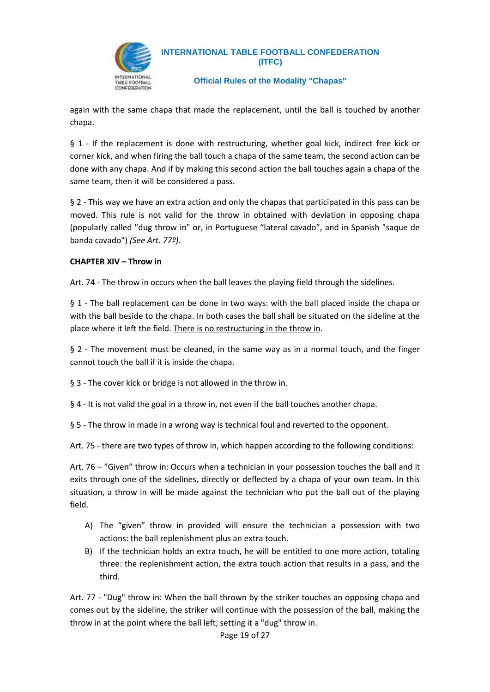

**Official Rules of the Modality "Chapas"**

again with the same chapa that made the replacement, until the ball is touched by another chapa.

§ 1 - If the replacement is done with restructuring, whether goal kick, indirect free kick or corner kick, and when firing the ball touch a chapa of the same team, the second action can be done with any chapa. And if by making this second action the ball touches again a chapa of the same team, then it will be considered a pass.

§ 2 - This way we have an extra action and only the chapas that participated in this pass can be moved. This rule is not valid for the throw in obtained with deviation in opposing chapa (popularly called "dug throw in" or, in Portuguese "lateral cavado", and in Spanish "saque de banda cavado") *(See Art. 77º)*.

#### **CHAPTER XIV – Throw in**

Art. 74 - The throw in occurs when the ball leaves the playing field through the sidelines.

§ 1 - The ball replacement can be done in two ways: with the ball placed inside the chapa or with the ball beside to the chapa. In both cases the ball shall be situated on the sideline at the place where it left the field. There is no restructuring in the throw in.

§ 2 - The movement must be cleaned, in the same way as in a normal touch, and the finger cannot touch the ball if it is inside the chapa.

§ 3 - The cover kick or bridge is not allowed in the throw in.

§ 4 - It is not valid the goal in a throw in, not even if the ball touches another chapa.

§ 5 - The throw in made in a wrong way is technical foul and reverted to the opponent.

Art. 75 - there are two types of throw in, which happen according to the following conditions:

Art. 76 – "Given" throw in: Occurs when a technician in your possession touches the ball and it exits through one of the sidelines, directly or deflected by a chapa of your own team. In this situation, a throw in will be made against the technician who put the ball out of the playing field.

- A) The "given" throw in provided will ensure the technician a possession with two actions: the ball replenishment plus an extra touch.
- B) If the technician holds an extra touch, he will be entitled to one more action, totaling three: the replenishment action, the extra touch action that results in a pass, and the third.

Art. 77 - "Dug" throw in: When the ball thrown by the striker touches an opposing chapa and comes out by the sideline, the striker will continue with the possession of the ball, making the throw in at the point where the ball left, setting it a "dug" throw in.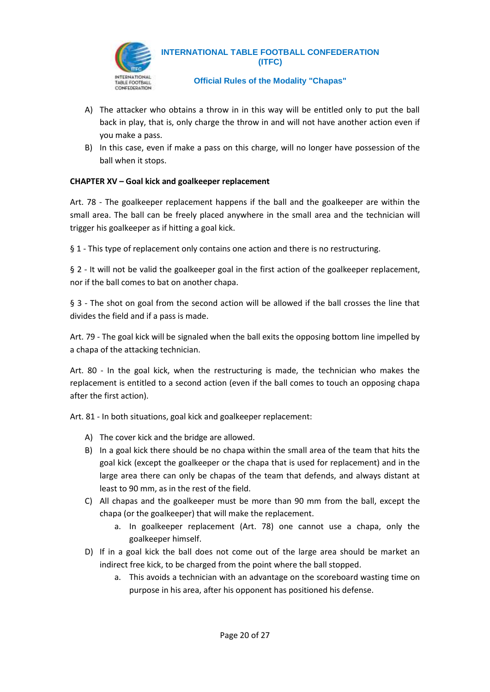

#### **Official Rules of the Modality "Chapas"**

- A) The attacker who obtains a throw in in this way will be entitled only to put the ball back in play, that is, only charge the throw in and will not have another action even if you make a pass.
- B) In this case, even if make a pass on this charge, will no longer have possession of the ball when it stops.

#### **CHAPTER XV – Goal kick and goalkeeper replacement**

Art. 78 - The goalkeeper replacement happens if the ball and the goalkeeper are within the small area. The ball can be freely placed anywhere in the small area and the technician will trigger his goalkeeper as if hitting a goal kick.

§ 1 - This type of replacement only contains one action and there is no restructuring.

§ 2 - It will not be valid the goalkeeper goal in the first action of the goalkeeper replacement, nor if the ball comes to bat on another chapa.

§ 3 - The shot on goal from the second action will be allowed if the ball crosses the line that divides the field and if a pass is made.

Art. 79 - The goal kick will be signaled when the ball exits the opposing bottom line impelled by a chapa of the attacking technician.

Art. 80 - In the goal kick, when the restructuring is made, the technician who makes the replacement is entitled to a second action (even if the ball comes to touch an opposing chapa after the first action).

Art. 81 - In both situations, goal kick and goalkeeper replacement:

- A) The cover kick and the bridge are allowed.
- B) In a goal kick there should be no chapa within the small area of the team that hits the goal kick (except the goalkeeper or the chapa that is used for replacement) and in the large area there can only be chapas of the team that defends, and always distant at least to 90 mm, as in the rest of the field.
- C) All chapas and the goalkeeper must be more than 90 mm from the ball, except the chapa (or the goalkeeper) that will make the replacement.
	- a. In goalkeeper replacement (Art. 78) one cannot use a chapa, only the goalkeeper himself.
- D) If in a goal kick the ball does not come out of the large area should be market an indirect free kick, to be charged from the point where the ball stopped.
	- a. This avoids a technician with an advantage on the scoreboard wasting time on purpose in his area, after his opponent has positioned his defense.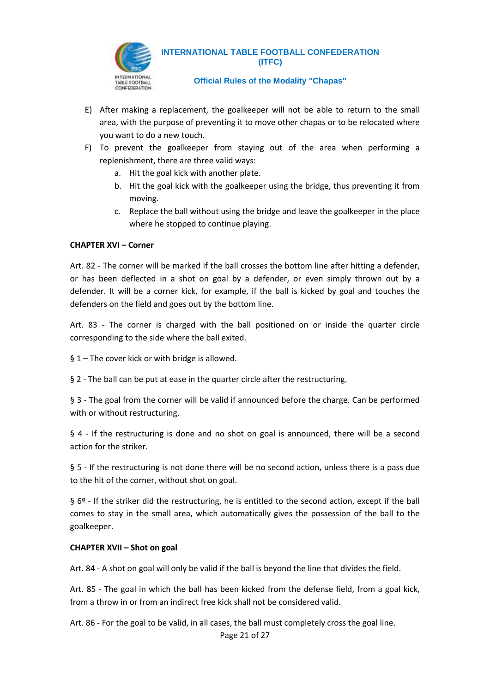

#### **Official Rules of the Modality "Chapas"**

- E) After making a replacement, the goalkeeper will not be able to return to the small area, with the purpose of preventing it to move other chapas or to be relocated where you want to do a new touch.
- F) To prevent the goalkeeper from staying out of the area when performing a replenishment, there are three valid ways:
	- a. Hit the goal kick with another plate.
	- b. Hit the goal kick with the goalkeeper using the bridge, thus preventing it from moving.
	- c. Replace the ball without using the bridge and leave the goalkeeper in the place where he stopped to continue playing.

#### **CHAPTER XVI – Corner**

Art. 82 - The corner will be marked if the ball crosses the bottom line after hitting a defender, or has been deflected in a shot on goal by a defender, or even simply thrown out by a defender. It will be a corner kick, for example, if the ball is kicked by goal and touches the defenders on the field and goes out by the bottom line.

Art. 83 - The corner is charged with the ball positioned on or inside the quarter circle corresponding to the side where the ball exited.

§ 1 – The cover kick or with bridge is allowed.

§ 2 - The ball can be put at ease in the quarter circle after the restructuring.

§ 3 - The goal from the corner will be valid if announced before the charge. Can be performed with or without restructuring.

§ 4 - If the restructuring is done and no shot on goal is announced, there will be a second action for the striker.

§ 5 - If the restructuring is not done there will be no second action, unless there is a pass due to the hit of the corner, without shot on goal.

§ 6º - If the striker did the restructuring, he is entitled to the second action, except if the ball comes to stay in the small area, which automatically gives the possession of the ball to the goalkeeper.

#### **CHAPTER XVII – Shot on goal**

Art. 84 - A shot on goal will only be valid if the ball is beyond the line that divides the field.

Art. 85 - The goal in which the ball has been kicked from the defense field, from a goal kick, from a throw in or from an indirect free kick shall not be considered valid.

Art. 86 - For the goal to be valid, in all cases, the ball must completely cross the goal line.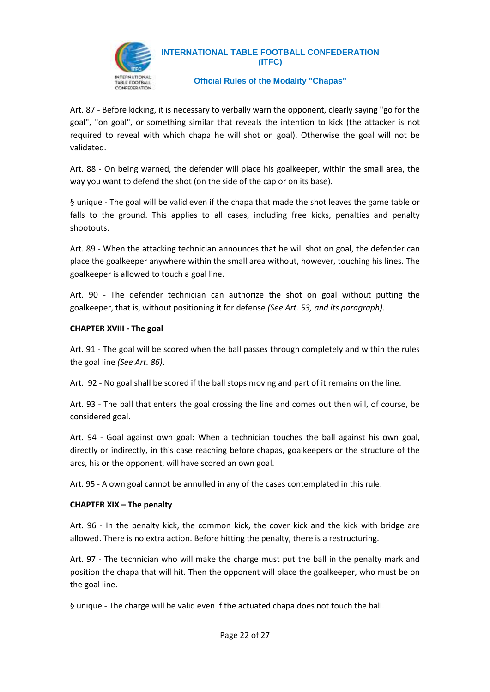

#### **Official Rules of the Modality "Chapas"**

Art. 87 - Before kicking, it is necessary to verbally warn the opponent, clearly saying "go for the goal", "on goal", or something similar that reveals the intention to kick (the attacker is not required to reveal with which chapa he will shot on goal). Otherwise the goal will not be validated.

Art. 88 - On being warned, the defender will place his goalkeeper, within the small area, the way you want to defend the shot (on the side of the cap or on its base).

§ unique - The goal will be valid even if the chapa that made the shot leaves the game table or falls to the ground. This applies to all cases, including free kicks, penalties and penalty shootouts.

Art. 89 - When the attacking technician announces that he will shot on goal, the defender can place the goalkeeper anywhere within the small area without, however, touching his lines. The goalkeeper is allowed to touch a goal line.

Art. 90 - The defender technician can authorize the shot on goal without putting the goalkeeper, that is, without positioning it for defense *(See Art. 53, and its paragraph)*.

#### **CHAPTER XVIII - The goal**

Art. 91 - The goal will be scored when the ball passes through completely and within the rules the goal line *(See Art. 86)*.

Art. 92 - No goal shall be scored if the ball stops moving and part of it remains on the line.

Art. 93 - The ball that enters the goal crossing the line and comes out then will, of course, be considered goal.

Art. 94 - Goal against own goal: When a technician touches the ball against his own goal, directly or indirectly, in this case reaching before chapas, goalkeepers or the structure of the arcs, his or the opponent, will have scored an own goal.

Art. 95 - A own goal cannot be annulled in any of the cases contemplated in this rule.

#### **CHAPTER XIX – The penalty**

Art. 96 - In the penalty kick, the common kick, the cover kick and the kick with bridge are allowed. There is no extra action. Before hitting the penalty, there is a restructuring.

Art. 97 - The technician who will make the charge must put the ball in the penalty mark and position the chapa that will hit. Then the opponent will place the goalkeeper, who must be on the goal line.

§ unique - The charge will be valid even if the actuated chapa does not touch the ball.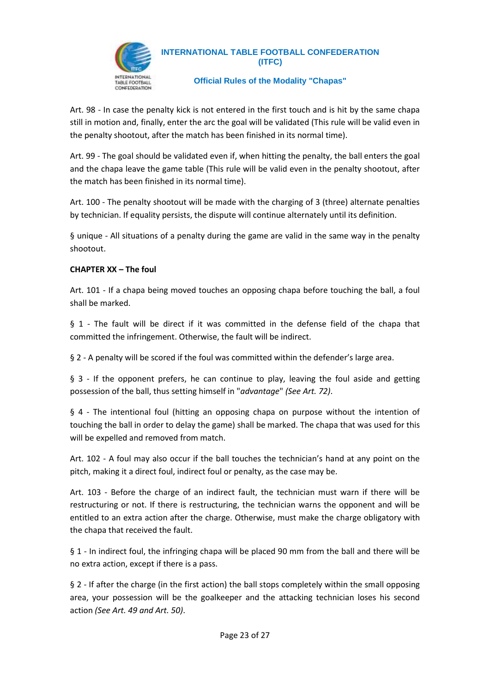

#### **Official Rules of the Modality "Chapas"**

Art. 98 - In case the penalty kick is not entered in the first touch and is hit by the same chapa still in motion and, finally, enter the arc the goal will be validated (This rule will be valid even in the penalty shootout, after the match has been finished in its normal time).

Art. 99 - The goal should be validated even if, when hitting the penalty, the ball enters the goal and the chapa leave the game table (This rule will be valid even in the penalty shootout, after the match has been finished in its normal time).

Art. 100 - The penalty shootout will be made with the charging of 3 (three) alternate penalties by technician. If equality persists, the dispute will continue alternately until its definition.

§ unique - All situations of a penalty during the game are valid in the same way in the penalty shootout.

#### **CHAPTER XX – The foul**

Art. 101 - If a chapa being moved touches an opposing chapa before touching the ball, a foul shall be marked.

§ 1 - The fault will be direct if it was committed in the defense field of the chapa that committed the infringement. Otherwise, the fault will be indirect.

§ 2 - A penalty will be scored if the foul was committed within the defender's large area.

§ 3 - If the opponent prefers, he can continue to play, leaving the foul aside and getting possession of the ball, thus setting himself in "*advantage*" *(See Art. 72)*.

§ 4 - The intentional foul (hitting an opposing chapa on purpose without the intention of touching the ball in order to delay the game) shall be marked. The chapa that was used for this will be expelled and removed from match.

Art. 102 - A foul may also occur if the ball touches the technician's hand at any point on the pitch, making it a direct foul, indirect foul or penalty, as the case may be.

Art. 103 - Before the charge of an indirect fault, the technician must warn if there will be restructuring or not. If there is restructuring, the technician warns the opponent and will be entitled to an extra action after the charge. Otherwise, must make the charge obligatory with the chapa that received the fault.

§ 1 - In indirect foul, the infringing chapa will be placed 90 mm from the ball and there will be no extra action, except if there is a pass.

§ 2 - If after the charge (in the first action) the ball stops completely within the small opposing area, your possession will be the goalkeeper and the attacking technician loses his second action *(See Art. 49 and Art. 50)*.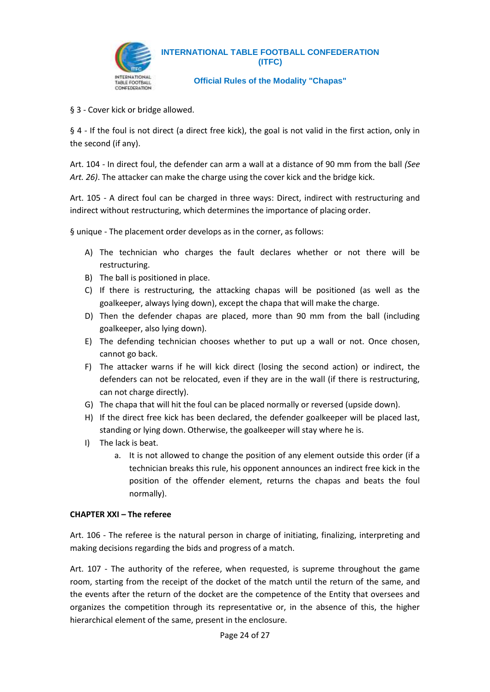

**Official Rules of the Modality "Chapas"**

§ 3 - Cover kick or bridge allowed.

§ 4 - If the foul is not direct (a direct free kick), the goal is not valid in the first action, only in the second (if any).

Art. 104 - In direct foul, the defender can arm a wall at a distance of 90 mm from the ball *(See Art. 26)*. The attacker can make the charge using the cover kick and the bridge kick.

Art. 105 - A direct foul can be charged in three ways: Direct, indirect with restructuring and indirect without restructuring, which determines the importance of placing order.

§ unique - The placement order develops as in the corner, as follows:

- A) The technician who charges the fault declares whether or not there will be restructuring.
- B) The ball is positioned in place.
- C) If there is restructuring, the attacking chapas will be positioned (as well as the goalkeeper, always lying down), except the chapa that will make the charge.
- D) Then the defender chapas are placed, more than 90 mm from the ball (including goalkeeper, also lying down).
- E) The defending technician chooses whether to put up a wall or not. Once chosen, cannot go back.
- F) The attacker warns if he will kick direct (losing the second action) or indirect, the defenders can not be relocated, even if they are in the wall (if there is restructuring, can not charge directly).
- G) The chapa that will hit the foul can be placed normally or reversed (upside down).
- H) If the direct free kick has been declared, the defender goalkeeper will be placed last, standing or lying down. Otherwise, the goalkeeper will stay where he is.
- I) The lack is beat.
	- a. It is not allowed to change the position of any element outside this order (if a technician breaks this rule, his opponent announces an indirect free kick in the position of the offender element, returns the chapas and beats the foul normally).

#### **CHAPTER XXI – The referee**

Art. 106 - The referee is the natural person in charge of initiating, finalizing, interpreting and making decisions regarding the bids and progress of a match.

Art. 107 - The authority of the referee, when requested, is supreme throughout the game room, starting from the receipt of the docket of the match until the return of the same, and the events after the return of the docket are the competence of the Entity that oversees and organizes the competition through its representative or, in the absence of this, the higher hierarchical element of the same, present in the enclosure.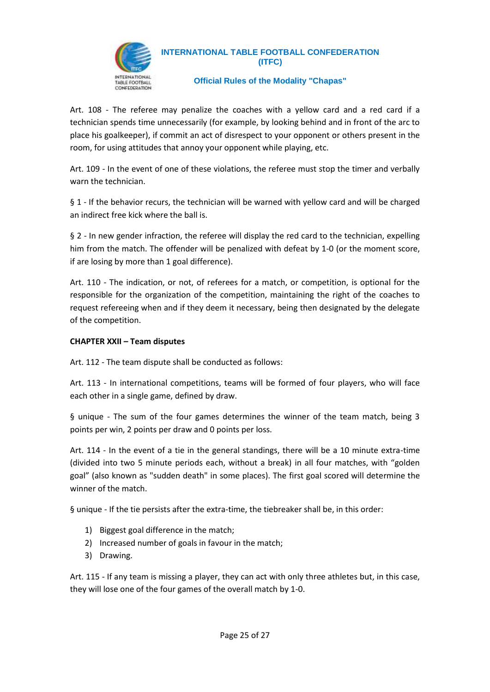

#### **Official Rules of the Modality "Chapas"**

Art. 108 - The referee may penalize the coaches with a yellow card and a red card if a technician spends time unnecessarily (for example, by looking behind and in front of the arc to place his goalkeeper), if commit an act of disrespect to your opponent or others present in the room, for using attitudes that annoy your opponent while playing, etc.

Art. 109 - In the event of one of these violations, the referee must stop the timer and verbally warn the technician.

§ 1 - If the behavior recurs, the technician will be warned with yellow card and will be charged an indirect free kick where the ball is.

§ 2 - In new gender infraction, the referee will display the red card to the technician, expelling him from the match. The offender will be penalized with defeat by 1-0 (or the moment score, if are losing by more than 1 goal difference).

Art. 110 - The indication, or not, of referees for a match, or competition, is optional for the responsible for the organization of the competition, maintaining the right of the coaches to request refereeing when and if they deem it necessary, being then designated by the delegate of the competition.

#### **CHAPTER XXII – Team disputes**

Art. 112 - The team dispute shall be conducted as follows:

Art. 113 - In international competitions, teams will be formed of four players, who will face each other in a single game, defined by draw.

§ unique - The sum of the four games determines the winner of the team match, being 3 points per win, 2 points per draw and 0 points per loss.

Art. 114 - In the event of a tie in the general standings, there will be a 10 minute extra-time (divided into two 5 minute periods each, without a break) in all four matches, with "golden goal" (also known as "sudden death" in some places). The first goal scored will determine the winner of the match.

§ unique - If the tie persists after the extra-time, the tiebreaker shall be, in this order:

- 1) Biggest goal difference in the match;
- 2) Increased number of goals in favour in the match;
- 3) Drawing.

Art. 115 - If any team is missing a player, they can act with only three athletes but, in this case, they will lose one of the four games of the overall match by 1-0.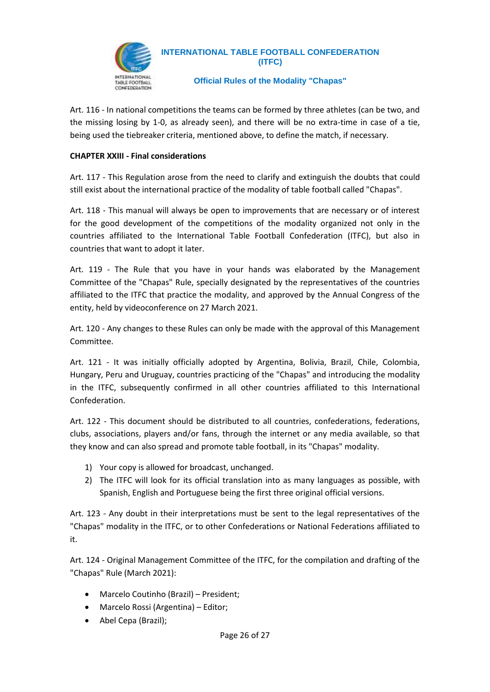

**Official Rules of the Modality "Chapas"**

Art. 116 - In national competitions the teams can be formed by three athletes (can be two, and the missing losing by 1-0, as already seen), and there will be no extra-time in case of a tie, being used the tiebreaker criteria, mentioned above, to define the match, if necessary.

#### **CHAPTER XXIII - Final considerations**

Art. 117 - This Regulation arose from the need to clarify and extinguish the doubts that could still exist about the international practice of the modality of table football called "Chapas".

Art. 118 - This manual will always be open to improvements that are necessary or of interest for the good development of the competitions of the modality organized not only in the countries affiliated to the International Table Football Confederation (ITFC), but also in countries that want to adopt it later.

Art. 119 - The Rule that you have in your hands was elaborated by the Management Committee of the "Chapas" Rule, specially designated by the representatives of the countries affiliated to the ITFC that practice the modality, and approved by the Annual Congress of the entity, held by videoconference on 27 March 2021.

Art. 120 - Any changes to these Rules can only be made with the approval of this Management Committee.

Art. 121 - It was initially officially adopted by Argentina, Bolivia, Brazil, Chile, Colombia, Hungary, Peru and Uruguay, countries practicing of the "Chapas" and introducing the modality in the ITFC, subsequently confirmed in all other countries affiliated to this International Confederation.

Art. 122 - This document should be distributed to all countries, confederations, federations, clubs, associations, players and/or fans, through the internet or any media available, so that they know and can also spread and promote table football, in its "Chapas" modality.

- 1) Your copy is allowed for broadcast, unchanged.
- 2) The ITFC will look for its official translation into as many languages as possible, with Spanish, English and Portuguese being the first three original official versions.

Art. 123 - Any doubt in their interpretations must be sent to the legal representatives of the "Chapas" modality in the ITFC, or to other Confederations or National Federations affiliated to it.

Art. 124 - Original Management Committee of the ITFC, for the compilation and drafting of the "Chapas" Rule (March 2021):

- Marcelo Coutinho (Brazil) President;
- Marcelo Rossi (Argentina) Editor;
- Abel Cepa (Brazil);